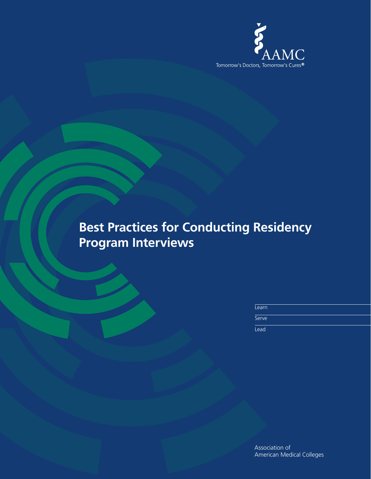

| Learn |  |  |  |
|-------|--|--|--|
| Serve |  |  |  |
| Lead  |  |  |  |

Association of American Medical Colleges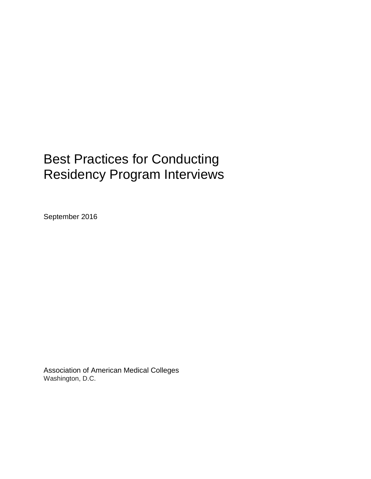September 2016

Association of American Medical Colleges Washington, D.C.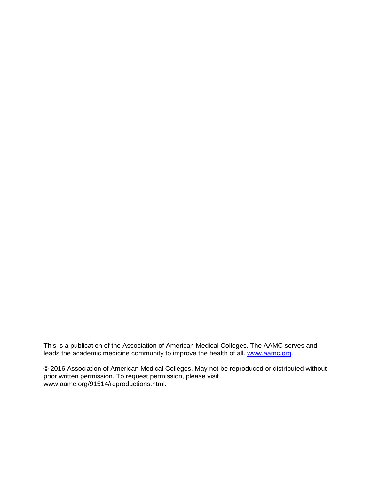This is a publication of the Association of American Medical Colleges. The AAMC serves and leads the academic medicine community to improve the health of all. [www.aamc.org.](http://www.aamc.org/)

© 2016 Association of American Medical Colleges. May not be reproduced or distributed without prior written permission. To request permission, please visit www.aamc.org/91514/reproductions.html.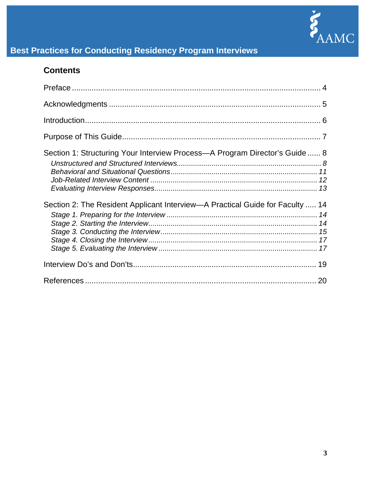

# **Contents**

| Section 1: Structuring Your Interview Process—A Program Director's Guide  8   |  |
|-------------------------------------------------------------------------------|--|
| Section 2: The Resident Applicant Interview—A Practical Guide for Faculty  14 |  |
|                                                                               |  |
|                                                                               |  |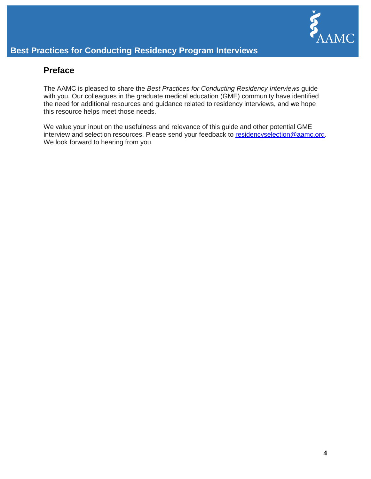

### <span id="page-4-0"></span>**Preface**

The AAMC is pleased to share the *Best Practices for Conducting Residency Interviews* guide with you. Our colleagues in the graduate medical education (GME) community have identified the need for additional resources and guidance related to residency interviews, and we hope this resource helps meet those needs.

We value your input on the usefulness and relevance of this guide and other potential GME interview and selection resources. Please send your feedback to [residencyselection@aamc.org.](mailto:residencyselection@aamc.org) We look forward to hearing from you.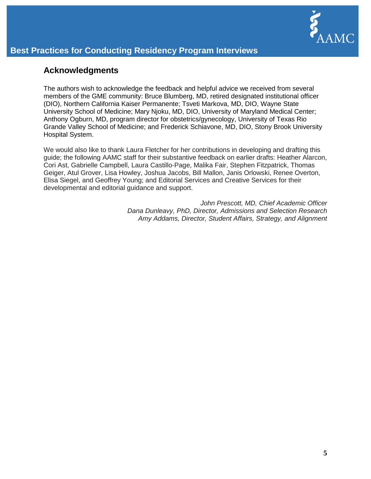

### <span id="page-5-0"></span>**Acknowledgments**

The authors wish to acknowledge the feedback and helpful advice we received from several members of the GME community: Bruce Blumberg, MD, retired designated institutional officer (DIO), Northern California Kaiser Permanente; Tsveti Markova, MD, DIO, Wayne State University School of Medicine; Mary Njoku, MD, DIO, University of Maryland Medical Center; Anthony Ogburn, MD, program director for obstetrics/gynecology, University of Texas Rio Grande Valley School of Medicine; and Frederick Schiavone, MD, DIO, Stony Brook University Hospital System.

We would also like to thank Laura Fletcher for her contributions in developing and drafting this guide; the following AAMC staff for their substantive feedback on earlier drafts: Heather Alarcon, Cori Ast, Gabrielle Campbell, Laura Castillo-Page, Malika Fair, Stephen Fitzpatrick, Thomas Geiger, Atul Grover, Lisa Howley, Joshua Jacobs, Bill Mallon, Janis Orlowski, Renee Overton, Elisa Siegel, and Geoffrey Young; and Editorial Services and Creative Services for their developmental and editorial guidance and support.

> *John Prescott, MD, Chief Academic Officer Dana Dunleavy, PhD, Director, Admissions and Selection Research Amy Addams, Director, Student Affairs, Strategy, and Alignment*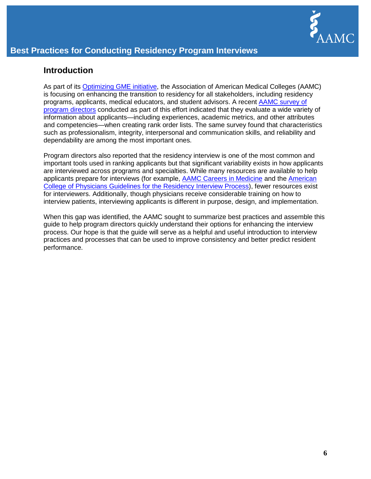

### <span id="page-6-0"></span>**Introduction**

As part of its **Optimizing GME initiative**, the Association of American Medical Colleges (AAMC) is focusing on enhancing the transition to residency for all stakeholders, including residency programs, applicants, medical educators, and student advisors. A recent [AAMC survey of](https://members.aamc.org/eweb/DynamicPage.aspx?Action=Add&ObjectKeyFrom=1A83491A-9853-4C87-86A4-F7D95601C2E2&WebCode=ProdDetailAdd&DoNotSave=yes&ParentObject=CentralizedOrderEntry&ParentDataObject=Invoice%20Detail&ivd_formkey=69202792-63d7-4ba2-bf4e-a0da41270555&ivd_cst_key=00000000-0000-0000-0000-000000000000&ivd_cst_ship_key=00000000-0000-0000-0000-000000000000&ivd_prc_prd_key=901595DD-CB6E-47E8-ADA8-A65673A7899D)  [program directors](https://members.aamc.org/eweb/DynamicPage.aspx?Action=Add&ObjectKeyFrom=1A83491A-9853-4C87-86A4-F7D95601C2E2&WebCode=ProdDetailAdd&DoNotSave=yes&ParentObject=CentralizedOrderEntry&ParentDataObject=Invoice%20Detail&ivd_formkey=69202792-63d7-4ba2-bf4e-a0da41270555&ivd_cst_key=00000000-0000-0000-0000-000000000000&ivd_cst_ship_key=00000000-0000-0000-0000-000000000000&ivd_prc_prd_key=901595DD-CB6E-47E8-ADA8-A65673A7899D) conducted as part of this effort indicated that they evaluate a wide variety of information about applicants—including experiences, academic metrics, and other attributes and competencies—when creating rank order lists. The same survey found that characteristics such as professionalism, integrity, interpersonal and communication skills, and reliability and dependability are among the most important ones.

Program directors also reported that the residency interview is one of the most common and important tools used in ranking applicants but that significant variability exists in how applicants are interviewed across programs and specialties. While many resources are available to help applicants prepare for interviews (for example, [AAMC Careers in Medicine](https://www.aamc.org/cim/residency/application/interviewing/) and the [American](https://www.acponline.org/membership/medical-students/residency/preparing-for-residency-interviews/guidelines-for-the-residency-interview-process)  [College of Physicians Guidelines for the Residency Interview Process\)](https://www.acponline.org/membership/medical-students/residency/preparing-for-residency-interviews/guidelines-for-the-residency-interview-process), fewer resources exist for interviewers. Additionally, though physicians receive considerable training on how to interview patients, interviewing applicants is different in purpose, design, and implementation.

When this gap was identified, the AAMC sought to summarize best practices and assemble this guide to help program directors quickly understand their options for enhancing the interview process. Our hope is that the guide will serve as a helpful and useful introduction to interview practices and processes that can be used to improve consistency and better predict resident performance.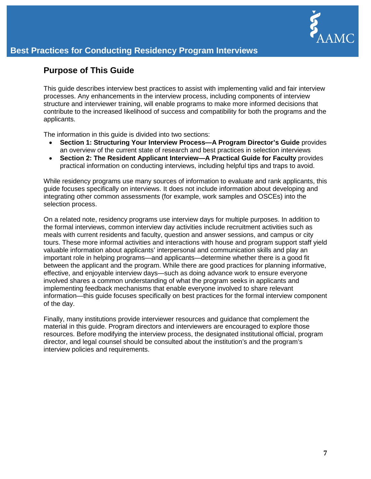

# <span id="page-7-0"></span>**Purpose of This Guide**

This guide describes interview best practices to assist with implementing valid and fair interview processes. Any enhancements in the interview process, including components of interview structure and interviewer training, will enable programs to make more informed decisions that contribute to the increased likelihood of success and compatibility for both the programs and the applicants.

The information in this guide is divided into two sections:

- **Section 1: Structuring Your Interview Process—A Program Director's Guide** provides an overview of the current state of research and best practices in selection interviews
- **Section 2: The Resident Applicant Interview—A Practical Guide for Faculty** provides practical information on conducting interviews, including helpful tips and traps to avoid.

While residency programs use many sources of information to evaluate and rank applicants, this guide focuses specifically on interviews. It does not include information about developing and integrating other common assessments (for example, work samples and OSCEs) into the selection process.

On a related note, residency programs use interview days for multiple purposes. In addition to the formal interviews, common interview day activities include recruitment activities such as meals with current residents and faculty, question and answer sessions, and campus or city tours. These more informal activities and interactions with house and program support staff yield valuable information about applicants' interpersonal and communication skills and play an important role in helping programs—and applicants—determine whether there is a good fit between the applicant and the program. While there are good practices for planning informative, effective, and enjoyable interview days—such as doing advance work to ensure everyone involved shares a common understanding of what the program seeks in applicants and implementing feedback mechanisms that enable everyone involved to share relevant information—this guide focuses specifically on best practices for the formal interview component of the day.

Finally, many institutions provide interviewer resources and guidance that complement the material in this guide. Program directors and interviewers are encouraged to explore those resources. Before modifying the interview process, the designated institutional official, program director, and legal counsel should be consulted about the institution's and the program's interview policies and requirements.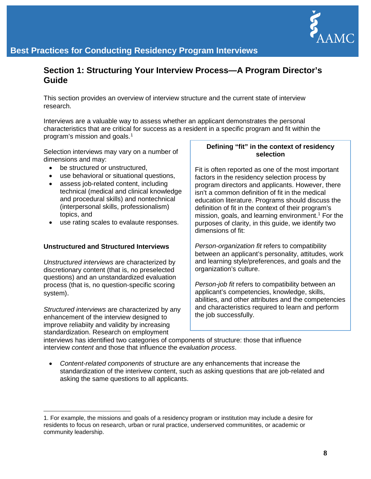

## <span id="page-8-0"></span>**Section 1: Structuring Your Interview Process***—***A Program Director's Guide**

This section provides an overview of interview structure and the current state of interview research.

Interviews are a valuable way to assess whether an applicant demonstrates the personal characteristics that are critical for success as a resident in a specific program and fit within the program's mission and goals. [1](#page-8-2)

Selection interviews may vary on a number of dimensions and may:

- be structured or unstructured.
- use behavioral or situational questions,
- assess job-related content, including technical (medical and clinical knowledge and procedural skills) and nontechnical (interpersonal skills, professionalism) topics, and
- use rating scales to evalaute responses.

#### <span id="page-8-1"></span>**Unstructured and Structured Interviews**

*Unstructured interviews* are characterized by discretionary content (that is, no preselected questions) and an unstandardized evaluation process (that is, no question-specific scoring system).

*Structured interviews* are characterized by any enhancement of the interview designed to improve reliabiity and validity by increasing standardization. Research on employment

 $\overline{a}$ 

#### **Defining "fit" in the context of residency selection**

Fit is often reported as one of the most important factors in the residency selection process by program directors and applicants. However, there isn't a common definition of fit in the medical education literature. Programs should discuss the definition of fit in the context of their program's mission, goals, and learning environment.<sup>1</sup> For the purposes of clarity, in this guide, we identify two dimensions of fit:

*Person-organization fit* refers to compatibility between an applicant's personality, attitudes, work and learning style/preferences, and goals and the organization's culture.

*Person-job fit* refers to compatibility between an applicant's competencies, knowledge, skills, abilities, and other attributes and the competencies and characteristics required to learn and perform the job successfully.

interviews has identified two categories of components of structure: those that influence interview *content* and those that influence the *evaluation process*.

• *Content-related components* of structure are any enhancements that increase the standardization of the interivew content, such as asking questions that are job-related and asking the same questions to all applicants.

<span id="page-8-2"></span><sup>1.</sup> For example, the missions and goals of a residency program or institution may include a desire for residents to focus on research, urban or rural practice, underserved communitites, or academic or community leadership.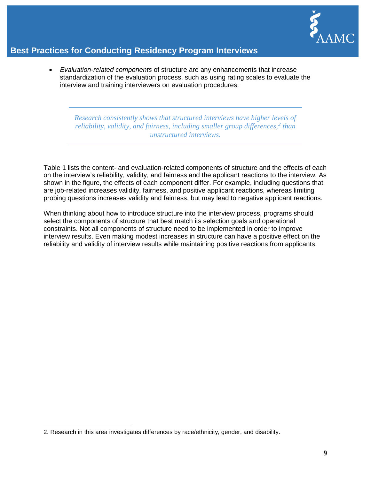

• *Evaluation-related components* of structure are any enhancements that increase standardization of the evaluation process, such as using rating scales to evaluate the interview and training interviewers on evaluation procedures.

*Research consistently shows that structured interviews have higher levels of reliability, validity, and fairness, including smaller group differences, [2](#page-9-0) than unstructured interviews.*

Table 1 lists the content- and evaluation-related components of structure and the effects of each on the interview's reliability, validity, and fairness and the applicant reactions to the interview. As shown in the figure, the effects of each component differ. For example, including questions that are job-related increases validity, fairness, and positive applicant reactions, whereas limiting probing questions increases validity and fairness, but may lead to negative applicant reactions.

When thinking about how to introduce structure into the interview process, programs should select the components of structure that best match its selection goals and operational constraints. Not all components of structure need to be implemented in order to improve interview results. Even making modest increases in structure can have a positive effect on the reliability and validity of interview results while maintaining positive reactions from applicants.

 $\overline{a}$ 

<span id="page-9-0"></span><sup>2.</sup> Research in this area investigates differences by race/ethnicity, gender, and disability.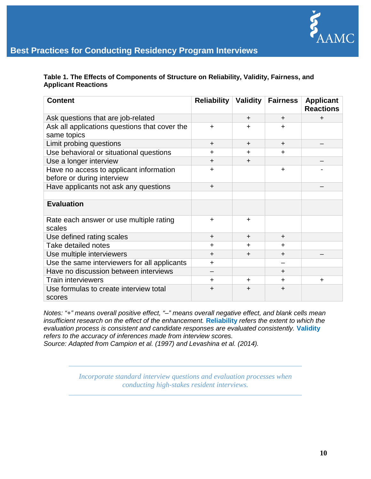

**Table 1. The Effects of Components of Structure on Reliability, Validity, Fairness, and Applicant Reactions**

| <b>Content</b>                                                        | <b>Reliability</b> | <b>Validity</b> | <b>Fairness</b> | <b>Applicant</b><br><b>Reactions</b> |
|-----------------------------------------------------------------------|--------------------|-----------------|-----------------|--------------------------------------|
| Ask questions that are job-related                                    |                    | $\div$          | $+$             | $\ddot{}$                            |
| Ask all applications questions that cover the<br>same topics          | $\ddot{}$          | +               | ÷               |                                      |
| Limit probing questions                                               | $\ddot{}$          | $\ddot{}$       | $\ddot{}$       |                                      |
| Use behavioral or situational questions                               | +                  | $\ddot{}$       | +               |                                      |
| Use a longer interview                                                | $\ddot{}$          | $\div$          |                 |                                      |
| Have no access to applicant information<br>before or during interview | +                  |                 | $\div$          |                                      |
| Have applicants not ask any questions                                 | $\ddot{}$          |                 |                 |                                      |
|                                                                       |                    |                 |                 |                                      |
| <b>Evaluation</b>                                                     |                    |                 |                 |                                      |
| Rate each answer or use multiple rating<br>scales                     | $\ddot{}$          | $\ddot{}$       |                 |                                      |
| Use defined rating scales                                             | $\ddot{}$          | $\div$          | $+$             |                                      |
| Take detailed notes                                                   | +                  | $\ddot{}$       | $\div$          |                                      |
| Use multiple interviewers                                             | $\ddot{}$          | $\div$          | $\ddot{}$       |                                      |
| Use the same interviewers for all applicants                          | +                  |                 |                 |                                      |
| Have no discussion between interviews                                 |                    |                 | $\ddot{}$       |                                      |
| <b>Train interviewers</b>                                             | +                  | $\ddot{}$       | $\div$          | $\ddot{}$                            |
| Use formulas to create interview total<br>scores                      | $\ddot{}$          | $\ddot{}$       | $\ddot{}$       |                                      |

*Notes: "+" means overall positive effect, "*–*" means overall negative effect, and blank cells mean insufficient research on the effect of the enhancement.* **Reliability** *refers the extent to which the evaluation process is consistent and candidate responses are evaluated consistently.* **Validity** *refers to the accuracy of inferences made from interview scores.*

*Source: Adapted from Campion et al. (1997) and Levashina et al. (2014).*

*Incorporate standard interview questions and evaluation processes when conducting high-stakes resident interviews.*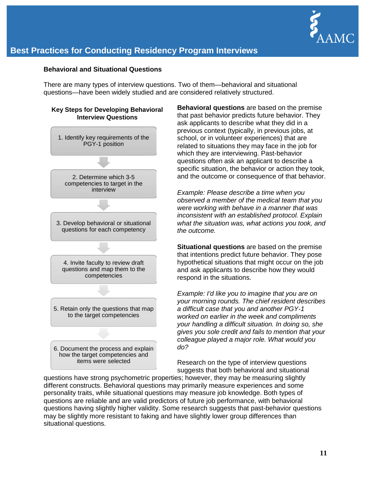

#### <span id="page-11-0"></span>**Behavioral and Situational Questions**

There are many types of interview questions. Two of them—behavioral and situational questions—have been widely studied and are considered relatively structured.



**Behavioral questions** are based on the premise that past behavior predicts future behavior. They ask applicants to describe what they did in a previous context (typically, in previous jobs, at school, or in volunteer experiences) that are related to situations they may face in the job for which they are interviewing. Past-behavior questions often ask an applicant to describe a specific situation, the behavior or action they took, and the outcome or consequence of that behavior.

*Example: Please describe a time when you observed a member of the medical team that you were working with behave in a manner that was inconsistent with an established protocol. Explain what the situation was, what actions you took, and the outcome.*

**Situational questions** are based on the premise that intentions predict future behavior. They pose hypothetical situations that might occur on the job and ask applicants to describe how they would respond in the situations.

*Example: I'd like you to imagine that you are on your morning rounds. The chief resident describes a difficult case that you and another PGY-1 worked on earlier in the week and compliments your handling a difficult situation. In doing so, she gives you sole credit and fails to mention that your colleague played a major role. What would you do?*

Research on the type of interview questions suggests that both behavioral and situational

questions have strong psychometric properties; however, they may be measuring slightly different constructs. Behavioral questions may primarily measure experiences and some personality traits, while situational questions may measure job knowledge. Both types of questions are reliable and are valid predictors of future job performance, with behavioral questions having slightly higher validity. Some research suggests that past-behavior questions may be slightly more resistant to faking and have slightly lower group differences than situational questions.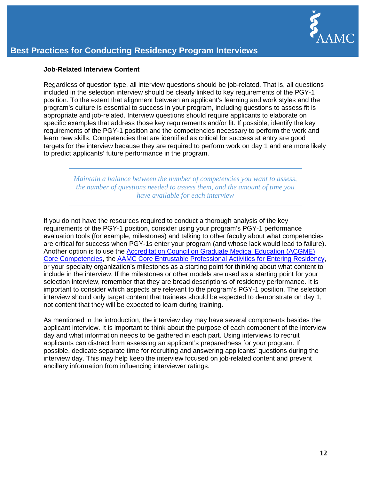

#### <span id="page-12-0"></span>**Job-Related Interview Content**

Regardless of question type, all interview questions should be job-related. That is, all questions included in the selection interview should be clearly linked to key requirements of the PGY-1 position. To the extent that alignment between an applicant's learning and work styles and the program's culture is essential to success in your program, including questions to assess fit is appropriate and job-related. Interview questions should require applicants to elaborate on specific examples that address those key requirements and/or fit. If possible, identify the key requirements of the PGY-1 position and the competencies necessary to perform the work and learn new skills. Competencies that are identified as critical for success at entry are good targets for the interview because they are required to perform work on day 1 and are more likely to predict applicants' future performance in the program.

> *Maintain a balance between the number of competencies you want to assess, the number of questions needed to assess them, and the amount of time you have available for each interview*

If you do not have the resources required to conduct a thorough analysis of the key requirements of the PGY-1 position, consider using your program's PGY-1 performance evaluation tools (for example, milestones) and talking to other faculty about what competencies are critical for success when PGY-1s enter your program (and whose lack would lead to failure). Another option is to use the [Accreditation Council on Graduate Medical Education \(ACGME\)](http://www.abms.org/board-certification/a-trusted-credential/based-on-core-competencies/)  [Core Competencies,](http://www.abms.org/board-certification/a-trusted-credential/based-on-core-competencies/) the [AAMC Core Entrustable Professional Activities for Entering Residency,](https://members.aamc.org/eweb/DynamicPage.aspx?Action=Add&ObjectKeyFrom=1A83491A-9853-4C87-86A4-F7D95601C2E2&WebCode=PubDetailAdd&DoNotSave=yes&ParentObject=CentralizedOrderEntry&ParentDataObject=Invoice%20Detail&ivd_formkey=69202792-63d7-4ba2-bf4e-a0da41270555&ivd_prc_prd_key=E3229B10-BFE7-4B35-89E7-512BBB01AE3B) or your specialty organization's milestones as a starting point for thinking about what content to include in the interview. If the milestones or other models are used as a starting point for your selection interview, remember that they are broad descriptions of residency performance. It is important to consider which aspects are relevant to the program's PGY-1 position. The selection interview should only target content that trainees should be expected to demonstrate on day 1, not content that they will be expected to learn during training.

As mentioned in the introduction, the interview day may have several components besides the applicant interview. It is important to think about the purpose of each component of the interview day and what information needs to be gathered in each part. Using interviews to recruit applicants can distract from assessing an applicant's preparedness for your program. If possible, dedicate separate time for recruiting and answering applicants' questions during the interview day. This may help keep the interview focused on job-related content and prevent ancillary information from influencing interviewer ratings.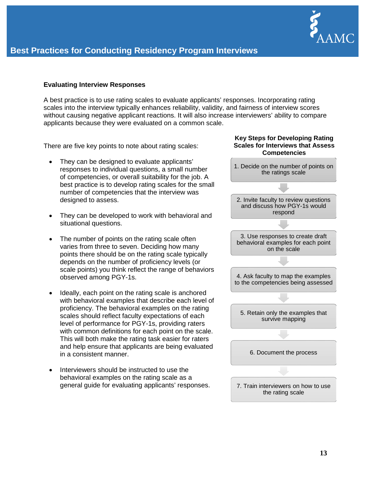

#### <span id="page-13-0"></span>**Evaluating Interview Responses**

A best practice is to use rating scales to evaluate applicants' responses. Incorporating rating scales into the interview typically enhances reliability, validity, and fairness of interview scores without causing negative applicant reactions. It will also increase interviewers' ability to compare applicants because they were evaluated on a common scale.

There are five key points to note about rating scales:

- They can be designed to evaluate applicants' responses to individual questions, a small number of competencies, or overall suitability for the job. A best practice is to develop rating scales for the small number of competencies that the interview was designed to assess.
- They can be developed to work with behavioral and situational questions.
- The number of points on the rating scale often varies from three to seven. Deciding how many points there should be on the rating scale typically depends on the number of proficiency levels (or scale points) you think reflect the range of behaviors observed among PGY-1s.
- Ideally, each point on the rating scale is anchored with behavioral examples that describe each level of proficiency. The behavioral examples on the rating scales should reflect faculty expectations of each level of performance for PGY-1s, providing raters with common definitions for each point on the scale. This will both make the rating task easier for raters and help ensure that applicants are being evaluated in a consistent manner.
- Interviewers should be instructed to use the behavioral examples on the rating scale as a general guide for evaluating applicants' responses.

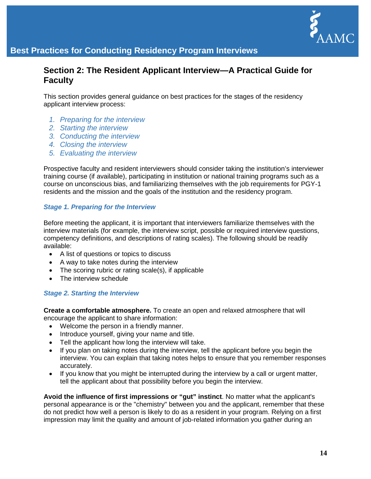

### <span id="page-14-0"></span>**Section 2: The Resident Applicant Interview—A Practical Guide for Faculty**

This section provides general guidance on best practices for the stages of the residency applicant interview process:

- *1. Preparing for the interview*
- *2. Starting the interview*
- *3. Conducting the interview*
- *4. Closing the interview*
- *5. Evaluating the interview*

Prospective faculty and resident interviewers should consider taking the institution's interviewer training course (if available), participating in institution or national training programs such as a course on unconscious bias, and familiarizing themselves with the job requirements for PGY-1 residents and the mission and the goals of the institution and the residency program.

### <span id="page-14-1"></span>*Stage 1. Preparing for the Interview*

Before meeting the applicant, it is important that interviewers familiarize themselves with the interview materials (for example, the interview script, possible or required interview questions, competency definitions, and descriptions of rating scales). The following should be readily available:

- A list of questions or topics to discuss
- A way to take notes during the interview
- The scoring rubric or rating scale(s), if applicable
- The interview schedule

### <span id="page-14-2"></span>*Stage 2. Starting the Interview*

**Create a comfortable atmosphere.** To create an open and relaxed atmosphere that will encourage the applicant to share information:

- Welcome the person in a friendly manner.
- Introduce yourself, giving your name and title.
- Tell the applicant how long the interview will take.
- If you plan on taking notes during the interview, tell the applicant before you begin the interview. You can explain that taking notes helps to ensure that you remember responses accurately.
- If you know that you might be interrupted during the interview by a call or urgent matter, tell the applicant about that possibility before you begin the interview.

**Avoid the influence of first impressions or "gut" instinct**. No matter what the applicant's personal appearance is or the "chemistry" between you and the applicant, remember that these do not predict how well a person is likely to do as a resident in your program. Relying on a first impression may limit the quality and amount of job-related information you gather during an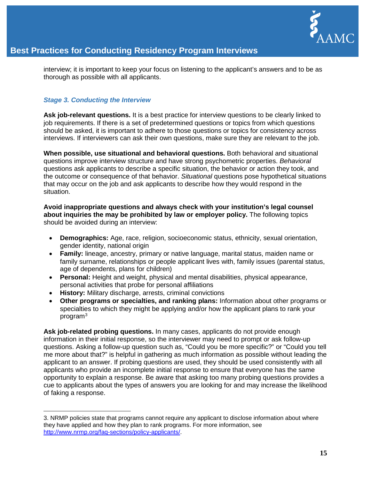

interview; it is important to keep your focus on listening to the applicant's answers and to be as thorough as possible with all applicants.

#### <span id="page-15-0"></span>*Stage 3. Conducting the Interview*

 $\overline{a}$ 

**Ask job-relevant questions.** It is a best practice for interview questions to be clearly linked to job requirements. If there is a set of predetermined questions or topics from which questions should be asked, it is important to adhere to those questions or topics for consistency across interviews. If interviewers can ask their own questions, make sure they are relevant to the job.

**When possible, use situational and behavioral questions.** Both behavioral and situational questions improve interview structure and have strong psychometric properties. *Behavioral*  questions ask applicants to describe a specific situation, the behavior or action they took, and the outcome or consequence of that behavior. *Situational* questions pose hypothetical situations that may occur on the job and ask applicants to describe how they would respond in the situation.

**Avoid inappropriate questions and always check with your institution's legal counsel about inquiries the may be prohibited by law or employer policy.** The following topics should be avoided during an interview:

- **Demographics:** Age, race, religion, socioeconomic status, ethnicity, sexual orientation, gender identity, national origin
- **Family:** lineage, ancestry, primary or native language, marital status, maiden name or family surname, relationships or people applicant lives with, family issues (parental status, age of dependents, plans for children)
- **Personal:** Height and weight, physical and mental disabilities, physical appearance, personal activities that probe for personal affiliations
- **History:** Military discharge, arrests, criminal convictions
- **Other programs or specialties, and ranking plans:** Information about other programs or specialties to which they might be applying and/or how the applicant plans to rank your program[3](#page-15-1)

**Ask job-related probing questions.** In many cases, applicants do not provide enough information in their initial response, so the interviewer may need to prompt or ask follow-up questions. Asking a follow-up question such as, "Could you be more specific?" or "Could you tell me more about that?" is helpful in gathering as much information as possible without leading the applicant to an answer. If probing questions are used, they should be used consistently with all applicants who provide an incomplete initial response to ensure that everyone has the same opportunity to explain a response. Be aware that asking too many probing questions provides a cue to applicants about the types of answers you are looking for and may increase the likelihood of faking a response.

<span id="page-15-1"></span><sup>3.</sup> NRMP policies state that programs cannot require any applicant to disclose information about where they have applied and how they plan to rank programs. For more information, see [http://www.nrmp.org/faq-sections/policy-applicants/.](http://www.nrmp.org/faq-sections/policy-applicants/)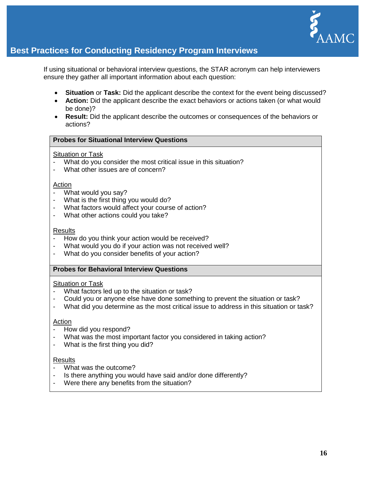

If using situational or behavioral interview questions, the STAR acronym can help interviewers ensure they gather all important information about each question:

- **Situation** or **Task:** Did the applicant describe the context for the event being discussed?
- **Action:** Did the applicant describe the exact behaviors or actions taken (or what would be done)?
- **Result:** Did the applicant describe the outcomes or consequences of the behaviors or actions?

#### **Probes for Situational Interview Questions**

#### Situation or Task

- What do you consider the most critical issue in this situation?<br>- What other issues are of concern?
- What other issues are of concern?

#### **Action**

- What would you say?
- What is the first thing you would do?
- What factors would affect your course of action?<br>- What other actions could you take?
- What other actions could you take?

#### **Results**

- How do you think your action would be received?
- What would you do if your action was not received well?<br>- What do you consider benefits of your action?
- What do you consider benefits of your action?

#### **Probes for Behavioral Interview Questions**

#### Situation or Task

- What factors led up to the situation or task?
- Could you or anyone else have done something to prevent the situation or task?
- What did you determine as the most critical issue to address in this situation or task?

#### Action

- How did you respond?
- What was the most important factor you considered in taking action?
- What is the first thing you did?

#### Results

- What was the outcome?
- Is there anything you would have said and/or done differently?
- Were there any benefits from the situation?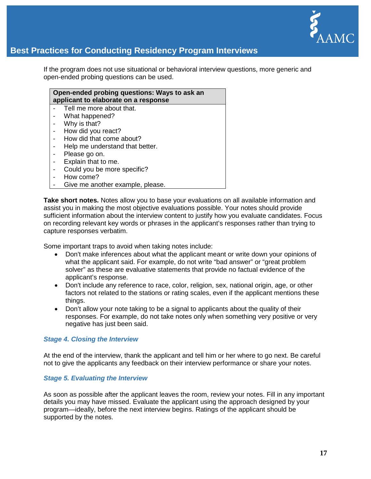

If the program does not use situational or behavioral interview questions, more generic and open-ended probing questions can be used.

**Open-ended probing questions: Ways to ask an applicant to elaborate on a response**  Tell me more about that. What happened? Why is that? - How did you react? - How did that come about? Help me understand that better. Please go on. Explain that to me. Could you be more specific?

- How come?
- Give me another example, please.

**Take short notes.** Notes allow you to base your evaluations on all available information and assist you in making the most objective evaluations possible. Your notes should provide sufficient information about the interview content to justify how you evaluate candidates. Focus on recording relevant key words or phrases in the applicant's responses rather than trying to capture responses verbatim.

Some important traps to avoid when taking notes include:

- Don't make inferences about what the applicant meant or write down your opinions of what the applicant said. For example, do not write "bad answer" or "great problem solver" as these are evaluative statements that provide no factual evidence of the applicant's response.
- Don't include any reference to race, color, religion, sex, national origin, age, or other factors not related to the stations or rating scales, even if the applicant mentions these things.
- Don't allow your note taking to be a signal to applicants about the quality of their responses. For example, do not take notes only when something very positive or very negative has just been said.

#### <span id="page-17-0"></span>*Stage 4. Closing the Interview*

At the end of the interview, thank the applicant and tell him or her where to go next. Be careful not to give the applicants any feedback on their interview performance or share your notes.

#### <span id="page-17-1"></span>*Stage 5. Evaluating the Interview*

As soon as possible after the applicant leaves the room, review your notes. Fill in any important details you may have missed. Evaluate the applicant using the approach designed by your program—ideally, before the next interview begins. Ratings of the applicant should be supported by the notes.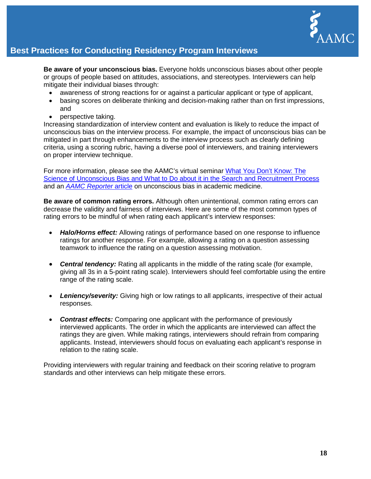

**Be aware of your unconscious bias.** Everyone holds unconscious biases about other people or groups of people based on attitudes, associations, and stereotypes. Interviewers can help mitigate their individual biases through:

- awareness of strong reactions for or against a particular applicant or type of applicant,
- basing scores on deliberate thinking and decision-making rather than on first impressions, and
- perspective taking.

Increasing standardization of interview content and evaluation is likely to reduce the impact of unconscious bias on the interview process. For example, the impact of unconscious bias can be mitigated in part through enhancements to the interview process such as clearly defining criteria, using a scoring rubric, having a diverse pool of interviewers, and training interviewers on proper interview technique.

For more information, please see the AAMC's virtual seminar [What You Don't Know: The](https://www.aamc.org/members/leadership/catalog/178420/unconscious_bias.html)  [Science of Unconscious Bias and What to Do about it in the Search and Recruitment Process](https://www.aamc.org/members/leadership/catalog/178420/unconscious_bias.html) and an *[AAMC Reporter](https://www.aamc.org/newsroom/reporter/january2016/453944/unconscious-bias.html)* article on unconscious bias in academic medicine.

**Be aware of common rating errors.** Although often unintentional, common rating errors can decrease the validity and fairness of interviews. Here are some of the most common types of rating errors to be mindful of when rating each applicant's interview responses:

- *Halo/Horns effect:* Allowing ratings of performance based on one response to influence ratings for another response. For example, allowing a rating on a question assessing teamwork to influence the rating on a question assessing motivation.
- *Central tendency:* Rating all applicants in the middle of the rating scale (for example, giving all 3s in a 5-point rating scale). Interviewers should feel comfortable using the entire range of the rating scale.
- *Leniency/severity:* Giving high or low ratings to all applicants, irrespective of their actual responses.
- *Contrast effects:* Comparing one applicant with the performance of previously interviewed applicants. The order in which the applicants are interviewed can affect the ratings they are given. While making ratings, interviewers should refrain from comparing applicants. Instead, interviewers should focus on evaluating each applicant's response in relation to the rating scale.

Providing interviewers with regular training and feedback on their scoring relative to program standards and other interviews can help mitigate these errors.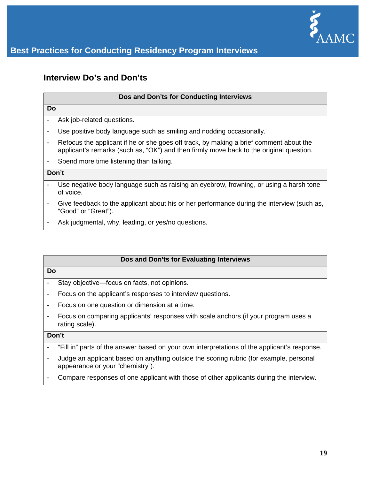

## <span id="page-19-0"></span>**Interview Do's and Don'ts**

#### **Dos and Don'ts for Conducting Interviews**

#### **Do**

- Ask job-related questions.
- Use positive body language such as smiling and nodding occasionally.
- Refocus the applicant if he or she goes off track, by making a brief comment about the applicant's remarks (such as, "OK") and then firmly move back to the original question.
- Spend more time listening than talking.

#### **Don't**

- Use negative body language such as raising an eyebrow, frowning, or using a harsh tone of voice.
- Give feedback to the applicant about his or her performance during the interview (such as, "Good" or "Great").
- Ask judgmental, why, leading, or yes/no questions.

#### **Dos and Don'ts for Evaluating Interviews**

#### **Do**

- Stay objective―focus on facts, not opinions.
- Focus on the applicant's responses to interview questions.
- Focus on one question or dimension at a time.
- Focus on comparing applicants' responses with scale anchors (if your program uses a rating scale).

#### **Don't**

- "Fill in" parts of the answer based on your own interpretations of the applicant's response.
- Judge an applicant based on anything outside the scoring rubric (for example, personal appearance or your "chemistry").
- Compare responses of one applicant with those of other applicants during the interview.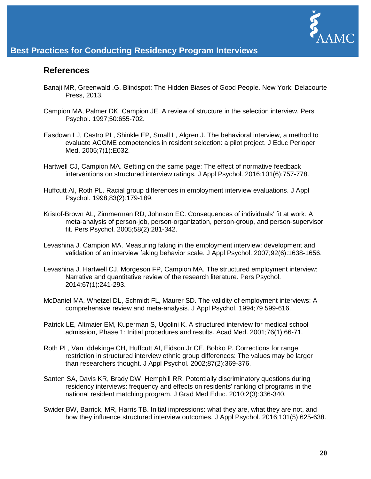

### <span id="page-20-0"></span>**References**

- Banaji MR, Greenwald .G. Blindspot: The Hidden Biases of Good People. New York: Delacourte Press, 2013.
- Campion MA, Palmer DK, Campion JE. A review of structure in the selection interview. Pers Psychol. 1997;50:655-702.
- Easdown LJ, Castro PL, Shinkle EP, Small L, Algren J. The behavioral interview, a method to evaluate ACGME competencies in resident selection: a pilot project. J Educ Perioper Med. 2005;7(1):E032.
- Hartwell CJ, Campion MA. Getting on the same page: The effect of normative feedback interventions on structured interview ratings. J Appl Psychol. 2016;101(6):757-778.
- Huffcutt AI, Roth PL. Racial group differences in employment interview evaluations. J Appl Psychol. 1998;83(2):179-189.
- Kristof-Brown AL, Zimmerman RD, Johnson EC. Consequences of individuals' fit at work: A meta-analysis of person-job, person-organization, person-group, and person-supervisor fit. Pers Psychol. 2005;58(2):281-342.
- Levashina J, Campion MA. Measuring faking in the employment interview: development and validation of an interview faking behavior scale. J Appl Psychol. 2007;92(6):1638-1656.
- Levashina J, Hartwell CJ, Morgeson FP, Campion MA. The structured employment interview: Narrative and quantitative review of the research literature. Pers Psychol. 2014;67(1):241-293.
- McDaniel MA, Whetzel DL, Schmidt FL, Maurer SD. The validity of employment interviews: A comprehensive review and meta-analysis. J Appl Psychol. 1994;79 599-616.
- Patrick LE, Altmaier EM, Kuperman S, Ugolini K. A structured interview for medical school admission, Phase 1: Initial procedures and results. Acad Med. 2001;76(1):66-71.
- Roth PL, Van Iddekinge CH, Huffcutt AI, Eidson Jr CE, Bobko P. Corrections for range restriction in structured interview ethnic group differences: The values may be larger than researchers thought. J Appl Psychol. 2002;87(2):369-376.
- Santen SA, Davis KR, Brady DW, Hemphill RR. Potentially discriminatory questions during residency interviews: frequency and effects on residents' ranking of programs in the national resident matching program. J Grad Med Educ. 2010;2(3):336-340.
- Swider BW, Barrick, MR, Harris TB. Initial impressions: what they are, what they are not, and how they influence structured interview outcomes. J Appl Psychol. 2016;101(5):625-638.